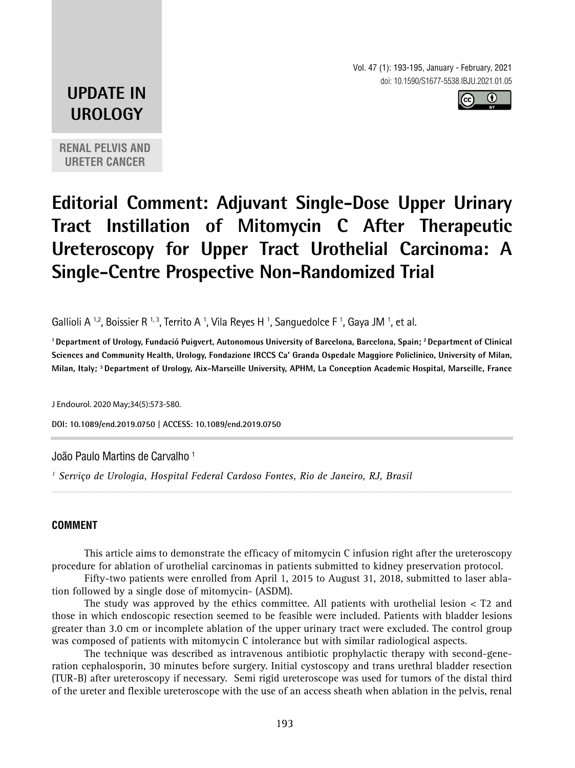Vol. 47 (1): 193-195, January - February, 2021 doi: 10.1590/S1677-5538.IBJU.2021.01.05



# **UPDATE IN UROLOGY**

**RENAL PELVIS AND URETER CANCER**

# **Editorial Comment: Adjuvant Single-Dose Upper Urinary Tract Instillation of Mitomycin C After Therapeutic Ureteroscopy for Upper Tract Urothelial Carcinoma: A Single-Centre Prospective Non-Randomized Trial**

Gallioli A 1.2, Boissier R 1,3, Territo A 1, Vila Reyes H 1, Sanguedolce F 1, Gaya JM 1, et al.

**1 Department of Urology, Fundació Puigvert, Autonomous University of Barcelona, Barcelona, Spain; 2 Department of Clinical Sciences and Community Health, Urology, Fondazione IRCCS Ca' Granda Ospedale Maggiore Policlinico, University of Milan, Milan, Italy; 3 Department of Urology, Aix-Marseille University, APHM, La Conception Academic Hospital, Marseille, France**

J Endourol. 2020 May;34(5):573-580.

**DOI: 10.1089/end.2019.0750 | ACCESS: 10.1089/end.2019.0750 \_\_\_\_\_\_\_\_\_\_\_\_\_\_\_\_\_\_\_\_\_\_\_\_\_\_\_\_\_\_\_\_\_\_\_\_\_\_\_\_\_\_\_\_\_**

João Paulo Martins de Carvalho 1

*1 Serviço de Urologia, Hospital Federal Cardoso Fontes, Rio de Janeiro, RJ, Brasil*

#### **COMMENT**

This article aims to demonstrate the efficacy of mitomycin C infusion right after the ureteroscopy procedure for ablation of urothelial carcinomas in patients submitted to kidney preservation protocol.

*\_\_\_\_\_\_\_\_\_\_\_\_\_\_\_\_\_\_\_\_\_\_\_\_\_\_\_\_\_\_\_\_\_\_\_\_\_\_\_\_\_\_\_\_\_\_\_\_\_\_\_\_\_\_\_\_\_\_\_\_\_\_\_\_\_\_\_\_\_\_\_\_\_\_\_\_\_\_\_\_\_\_\_\_\_\_\_*

Fifty-two patients were enrolled from April 1, 2015 to August 31, 2018, submitted to laser ablation followed by a single dose of mitomycin- (ASDM).

The study was approved by the ethics committee. All patients with urothelial lesion  $<$  T2 and those in which endoscopic resection seemed to be feasible were included. Patients with bladder lesions greater than 3.0 cm or incomplete ablation of the upper urinary tract were excluded. The control group was composed of patients with mitomycin C intolerance but with similar radiological aspects.

The technique was described as intravenous antibiotic prophylactic therapy with second-generation cephalosporin, 30 minutes before surgery. Initial cystoscopy and trans urethral bladder resection (TUR-B) after ureteroscopy if necessary. Semi rigid ureteroscope was used for tumors of the distal third of the ureter and flexible ureteroscope with the use of an access sheath when ablation in the pelvis, renal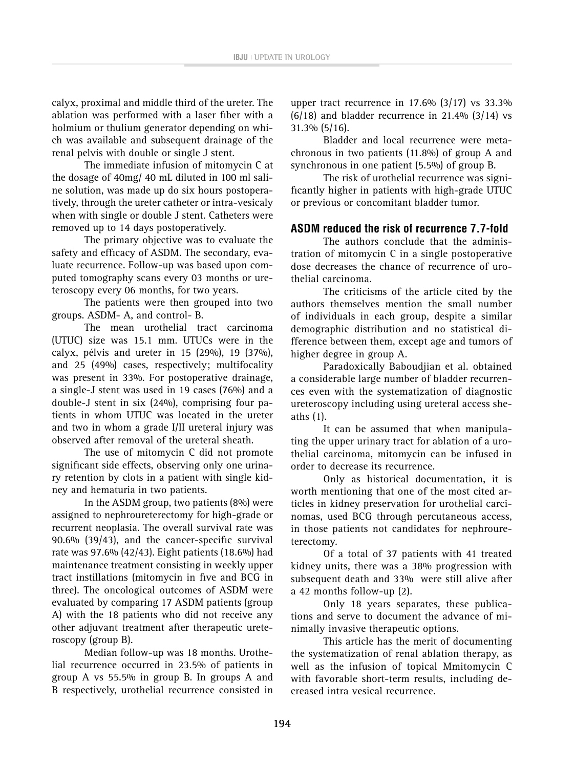calyx, proximal and middle third of the ureter. The ablation was performed with a laser fiber with a holmium or thulium generator depending on which was available and subsequent drainage of the renal pelvis with double or single J stent.

The immediate infusion of mitomycin C at the dosage of 40mg/ 40 mL diluted in 100 ml saline solution, was made up do six hours postoperatively, through the ureter catheter or intra-vesicaly when with single or double J stent. Catheters were removed up to 14 days postoperatively.

The primary objective was to evaluate the safety and efficacy of ASDM. The secondary, evaluate recurrence. Follow-up was based upon computed tomography scans every 03 months or ureteroscopy every 06 months, for two years.

The patients were then grouped into two groups. ASDM- A, and control- B.

The mean urothelial tract carcinoma (UTUC) size was 15.1 mm. UTUCs were in the calyx, pélvis and ureter in 15 (29%), 19 (37%), and 25 (49%) cases, respectively; multifocality was present in 33%. For postoperative drainage, a single-J stent was used in 19 cases (76%) and a double-J stent in six (24%), comprising four patients in whom UTUC was located in the ureter and two in whom a grade I/II ureteral injury was observed after removal of the ureteral sheath.

The use of mitomycin C did not promote significant side effects, observing only one urinary retention by clots in a patient with single kidney and hematuria in two patients.

In the ASDM group, two patients (8%) were assigned to nephroureterectomy for high-grade or recurrent neoplasia. The overall survival rate was 90.6% (39/43), and the cancer-specific survival rate was 97.6% (42/43). Eight patients (18.6%) had maintenance treatment consisting in weekly upper tract instillations (mitomycin in five and BCG in three). The oncological outcomes of ASDM were evaluated by comparing 17 ASDM patients (group A) with the 18 patients who did not receive any other adjuvant treatment after therapeutic ureteroscopy (group B).

Median follow-up was 18 months. Urothelial recurrence occurred in 23.5% of patients in group A vs 55.5% in group B. In groups A and B respectively, urothelial recurrence consisted in

upper tract recurrence in 17.6% (3/17) vs 33.3%  $(6/18)$  and bladder recurrence in 21.4%  $(3/14)$  vs 31.3% (5/16).

Bladder and local recurrence were metachronous in two patients (11.8%) of group A and synchronous in one patient (5.5%) of group B.

The risk of urothelial recurrence was significantly higher in patients with high-grade UTUC or previous or concomitant bladder tumor.

## **ASDM reduced the risk of recurrence 7.7-fold**

The authors conclude that the administration of mitomycin C in a single postoperative dose decreases the chance of recurrence of urothelial carcinoma.

The criticisms of the article cited by the authors themselves mention the small number of individuals in each group, despite a similar demographic distribution and no statistical difference between them, except age and tumors of higher degree in group A.

Paradoxically Baboudjian et al. obtained a considerable large number of bladder recurrences even with the systematization of diagnostic ureteroscopy including using ureteral access sheaths (1).

It can be assumed that when manipulating the upper urinary tract for ablation of a urothelial carcinoma, mitomycin can be infused in order to decrease its recurrence.

Only as historical documentation, it is worth mentioning that one of the most cited articles in kidney preservation for urothelial carcinomas, used BCG through percutaneous access, in those patients not candidates for nephroureterectomy.

Of a total of 37 patients with 41 treated kidney units, there was a 38% progression with subsequent death and 33% were still alive after a 42 months follow-up (2).

Only 18 years separates, these publications and serve to document the advance of minimally invasive therapeutic options.

This article has the merit of documenting the systematization of renal ablation therapy, as well as the infusion of topical Mmitomycin C with favorable short-term results, including decreased intra vesical recurrence.